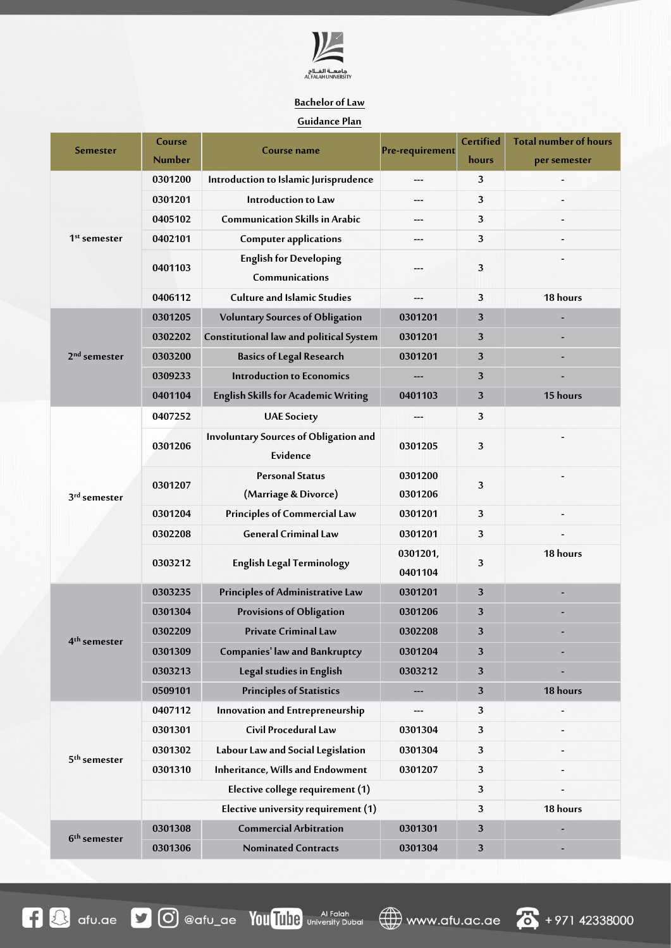

## **Bachelor of Law**

## **Guidance Plan**

| <b>Semester</b>          | Course                              | Course name                                              | Pre-requirement     | Certified | <b>Total number of hours</b> |
|--------------------------|-------------------------------------|----------------------------------------------------------|---------------------|-----------|------------------------------|
|                          | <b>Number</b>                       |                                                          |                     | hours     | per semester                 |
| $1st$ semester           | 0301200                             | Introduction to Islamic Jurisprudence                    | ---                 | 3         |                              |
|                          | 0301201                             | Introduction to Law                                      | ---                 | 3         |                              |
|                          | 0405102                             | <b>Communication Skills in Arabic</b>                    | ---                 | 3         |                              |
|                          | 0402101                             | <b>Computer applications</b>                             | ---                 | 3         |                              |
|                          | 0401103                             | <b>English for Developing</b><br>Communications          |                     | 3         |                              |
|                          | 0406112                             | <b>Culture and Islamic Studies</b>                       |                     | 3         | 18 hours                     |
| 2 <sup>nd</sup> semester | 0301205                             | <b>Voluntary Sources of Obligation</b>                   | 0301201             | 3         |                              |
|                          | 0302202                             | Constitutional law and political System                  | 0301201             | 3         |                              |
|                          | 0303200                             | <b>Basics of Legal Research</b>                          | 0301201             | 3         |                              |
|                          | 0309233                             | <b>Introduction to Economics</b>                         | ---                 | 3         |                              |
|                          | 0401104                             | <b>English Skills for Academic Writing</b>               | 0401103             | 3         | 15 hours                     |
| 3rd semester             | 0407252                             | <b>UAE Society</b>                                       | ---                 | 3         |                              |
|                          | 0301206                             | <b>Involuntary Sources of Obligation and</b><br>Evidence | 0301205             | 3         |                              |
|                          | 0301207                             | <b>Personal Status</b><br>(Marriage & Divorce)           | 0301200<br>0301206  | 3         |                              |
|                          | 0301204                             | <b>Principles of Commercial Law</b>                      | 0301201             | 3         |                              |
|                          | 0302208                             | <b>General Criminal Law</b>                              | 0301201             | 3         |                              |
|                          | 0303212                             | <b>English Legal Terminology</b>                         | 0301201,<br>0401104 | 3         | 18 hours                     |
|                          | 0303235                             | Principles of Administrative Law                         | 0301201             | 3         | ٠                            |
| 4 <sup>th</sup> semester | 0301304                             | <b>Provisions of Obligation</b>                          | 0301206             | 3         |                              |
|                          | 0302209                             | <b>Private Criminal Law</b>                              | 0302208             | 3         |                              |
|                          | 0301309                             | <b>Companies' law and Bankruptcy</b>                     | 0301204             | 3         |                              |
|                          | 0303213                             | Legal studies in English                                 | 0303212             | 3         |                              |
|                          | 0509101                             | <b>Principles of Statistics</b>                          | ---                 | 3         | 18 hours                     |
| 5 <sup>th</sup> semester | 0407112                             | Innovation and Entrepreneurship                          | ---                 | 3         |                              |
|                          | 0301301                             | Civil Procedural Law                                     | 0301304             | 3         |                              |
|                          | 0301302                             | Labour Law and Social Legislation                        | 0301304             | 3         |                              |
|                          | 0301310                             | <b>Inheritance, Wills and Endowment</b>                  | 0301207             | 3         |                              |
|                          | Elective college requirement (1)    |                                                          |                     |           |                              |
|                          | Elective university requirement (1) |                                                          |                     |           | 18 hours                     |
| 6 <sup>th</sup> semester | 0301308                             | <b>Commercial Arbitration</b>                            | 0301301             | 3         |                              |
|                          | 0301306                             | <b>Nominated Contracts</b>                               | 0301304             | 3         |                              |

www.afu.ac.ae **6** +971 42338000

**1 3** afu.ae **1 0** @afu\_ae You Tube University Dubai